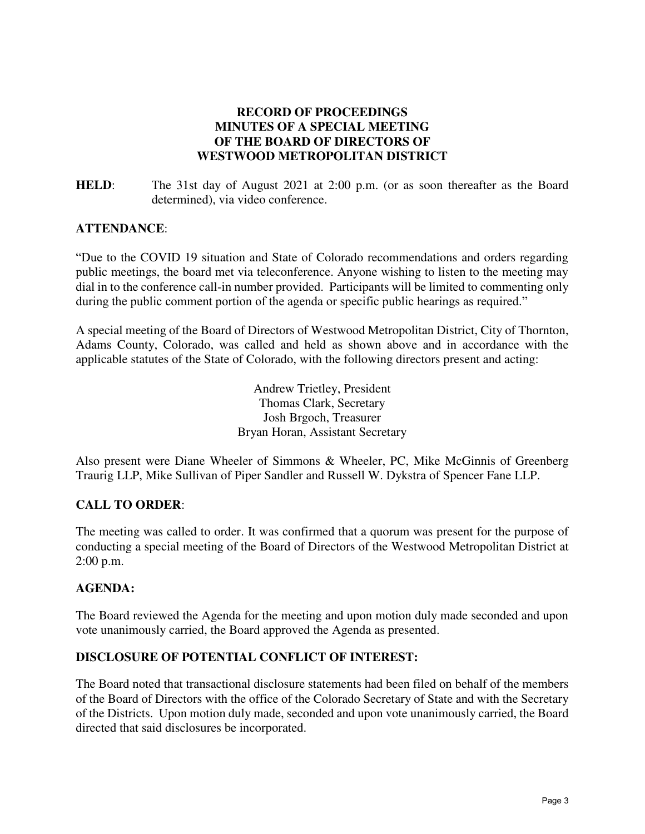# **RECORD OF PROCEEDINGS MINUTES OF A SPECIAL MEETING OF THE BOARD OF DIRECTORS OF WESTWOOD METROPOLITAN DISTRICT**

**HELD:** The 31st day of August 2021 at 2:00 p.m. (or as soon thereafter as the Board determined), via video conference.

### **ATTENDANCE**:

"Due to the COVID 19 situation and State of Colorado recommendations and orders regarding public meetings, the board met via teleconference. Anyone wishing to listen to the meeting may dial in to the conference call-in number provided. Participants will be limited to commenting only during the public comment portion of the agenda or specific public hearings as required."

A special meeting of the Board of Directors of Westwood Metropolitan District, City of Thornton, Adams County, Colorado, was called and held as shown above and in accordance with the applicable statutes of the State of Colorado, with the following directors present and acting:

> Andrew Trietley, President Thomas Clark, Secretary Josh Brgoch, Treasurer Bryan Horan, Assistant Secretary

Also present were Diane Wheeler of Simmons & Wheeler, PC, Mike McGinnis of Greenberg Traurig LLP, Mike Sullivan of Piper Sandler and Russell W. Dykstra of Spencer Fane LLP.

# **CALL TO ORDER**:

The meeting was called to order. It was confirmed that a quorum was present for the purpose of conducting a special meeting of the Board of Directors of the Westwood Metropolitan District at 2:00 p.m.

#### **AGENDA:**

The Board reviewed the Agenda for the meeting and upon motion duly made seconded and upon vote unanimously carried, the Board approved the Agenda as presented.

### **DISCLOSURE OF POTENTIAL CONFLICT OF INTEREST:**

The Board noted that transactional disclosure statements had been filed on behalf of the members of the Board of Directors with the office of the Colorado Secretary of State and with the Secretary of the Districts. Upon motion duly made, seconded and upon vote unanimously carried, the Board directed that said disclosures be incorporated.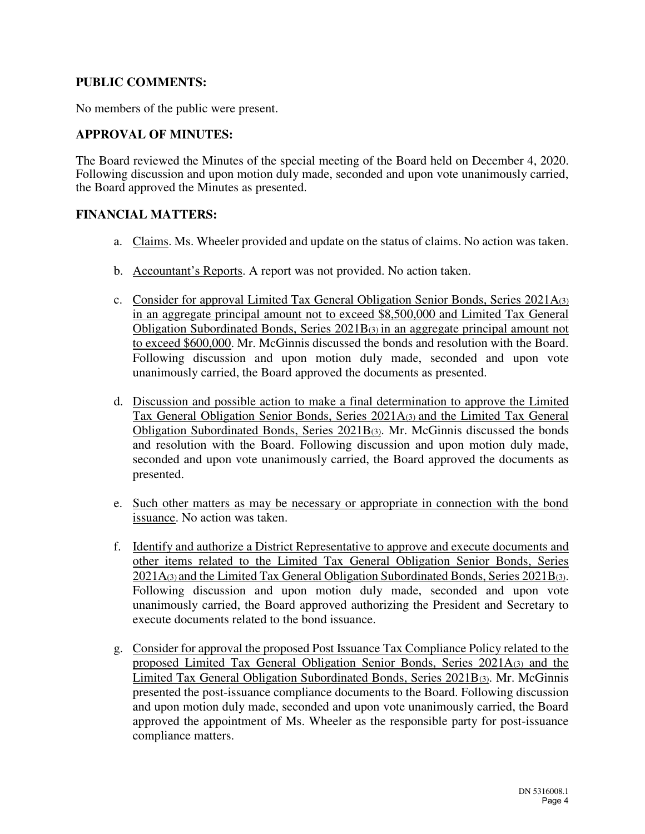### **PUBLIC COMMENTS:**

No members of the public were present.

# **APPROVAL OF MINUTES:**

The Board reviewed the Minutes of the special meeting of the Board held on December 4, 2020. Following discussion and upon motion duly made, seconded and upon vote unanimously carried, the Board approved the Minutes as presented.

### **FINANCIAL MATTERS:**

- a. Claims. Ms. Wheeler provided and update on the status of claims. No action was taken.
- b. Accountant's Reports. A report was not provided. No action taken.
- c. Consider for approval Limited Tax General Obligation Senior Bonds, Series 2021A(3) in an aggregate principal amount not to exceed \$8,500,000 and Limited Tax General Obligation Subordinated Bonds, Series 2021B(3) in an aggregate principal amount not to exceed \$600,000. Mr. McGinnis discussed the bonds and resolution with the Board. Following discussion and upon motion duly made, seconded and upon vote unanimously carried, the Board approved the documents as presented.
- d. Discussion and possible action to make a final determination to approve the Limited Tax General Obligation Senior Bonds, Series 2021A(3) and the Limited Tax General Obligation Subordinated Bonds, Series 2021B(3). Mr. McGinnis discussed the bonds and resolution with the Board. Following discussion and upon motion duly made, seconded and upon vote unanimously carried, the Board approved the documents as presented.
- e. Such other matters as may be necessary or appropriate in connection with the bond issuance. No action was taken.
- f. Identify and authorize a District Representative to approve and execute documents and other items related to the Limited Tax General Obligation Senior Bonds, Series 2021A(3) and the Limited Tax General Obligation Subordinated Bonds, Series 2021B(3). Following discussion and upon motion duly made, seconded and upon vote unanimously carried, the Board approved authorizing the President and Secretary to execute documents related to the bond issuance.
- g. Consider for approval the proposed Post Issuance Tax Compliance Policy related to the proposed Limited Tax General Obligation Senior Bonds, Series 2021A(3) and the Limited Tax General Obligation Subordinated Bonds, Series 2021B(3). Mr. McGinnis presented the post-issuance compliance documents to the Board. Following discussion and upon motion duly made, seconded and upon vote unanimously carried, the Board approved the appointment of Ms. Wheeler as the responsible party for post-issuance compliance matters.